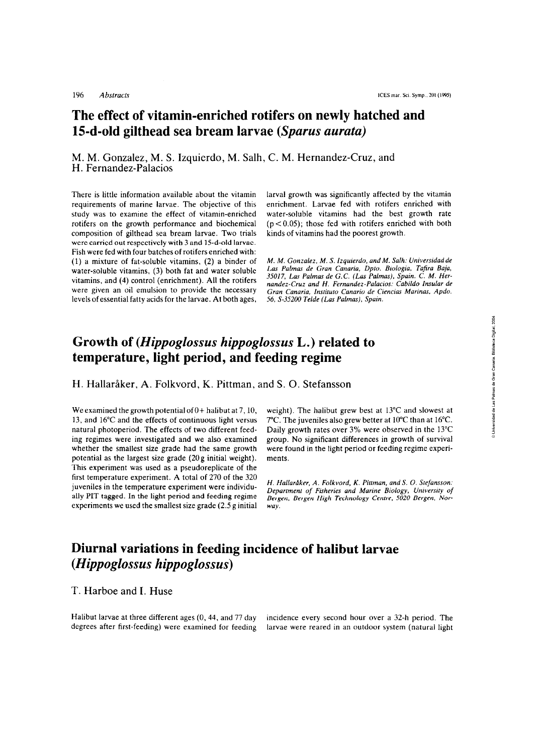# **The effect of vitamin-enriched rotifers on newly hatched and 15-d-old gilthead sea bream larvae** *(Sparus aurata)*

M. M. Gonzalez, M. S. Izquierdo, M. Salh, C. M. Hernandez-Cruz, and H. Fernandez-Palacios

There is little information available about the vitamin requirements of marine larvae. The objective of this study was to examine the effect of vitamin-enriched rotifers on the growth performance and biochemical cornposition of gilthead sea bream larvae. Two trials were carried out respectively with 3 and 15-d-old larvae. Fish were fed with four batches of rotifers enriched with: (1) a mixture of fat-soluble vitamins, (2) a binder of water-soluble vitamins, (3) both fat and water soluble vitamins, and (4) control (enrichment). All the rotifers were given an oil emulsion to provide the necessary levels of essential fatty acids for the larvae. At both ages,

larva1 growth was significantly affected by the vitamin enrichment. Larvae fed with rotifers enriched with water-soluble vitamins had the best growth rate  $(p < 0.05)$ ; those fed with rotifers enriched with both kinds of vitamins had the poorest growth.

*M. M. Gonzalez, M. S. Izquierdo, and M. Salh: Universidad de Las Palmas de Gran Canaria, Dpro. Biologia, Tafira Baja,*  35017, Las Palmas de G.C. (Las Palmas), Spain. C. M. Her*nandez-Cruz and H. Fernandez-Palacios: Cabildo Inrular de Gran Canaria; Inrriruro Canario de Ciencias Marinas, Apdo. 56, S-35200 Telde (Las Palmas), Spain.* 

### **Growth of** *(Hippoglossus hippoglossus* **L.) related to temperature, light period, and feeding regime**

H. Hallaråker, A. Folkvord, K. Pittman, and S. O. Stefansson

We examined the growth potential of  $0+$  halibut at 7,10, 13, and 16°C and the effects of continuous light versus natural photoperiod. The effects of two different feeding regimes were investigated and we also examined whether the smallest size grade had the same growth potential as the largest size grade (20g initial weight). This experiment was used as a pseudoreplicate of the first temperature experiment. A total of 270 of the 320 juveniles in the temperature experiment were individu ally PIT tagged. In the light period and feeding regime experiments we used the smallest size grade (2.5 g initial weight). The halibut grew best at 13°C and slowest at 7°C. The juveniles also grew better at 10°C than at 16°C. Daily growth rates over 3% were observed in the 13°C group. No significant differences in growth of survival were found in the light period or feeding regime experiments.

*H. Hallaråker, A. Folkvord, K. Pittman, and S. O. Stefansson: Department of Fisheries and Marine Biology, University of Deparmenf of Fisheries and MaNne Biology, Universify of* **n n tr:-~ T--L--~ <sup>P</sup>**--.-.. **<n?n** *D* **ki-- urrgrrr, urrgrri rllgrr r rrrrrruiugy Lrrurc, JWLW ricre;cri, ivvr***way.* 

# Diurnal variations in feeding incidence of halibut larvae (Hippoglossus hippoglossus)

#### T. Harboe and 1. Huse

Halibut larvae at three different ages (0, 44, and 77 day incidence every second hour over a 32-h period. The degrees after first-feeding) were examined for feeding larvae were reared in an outdoor system (natural light